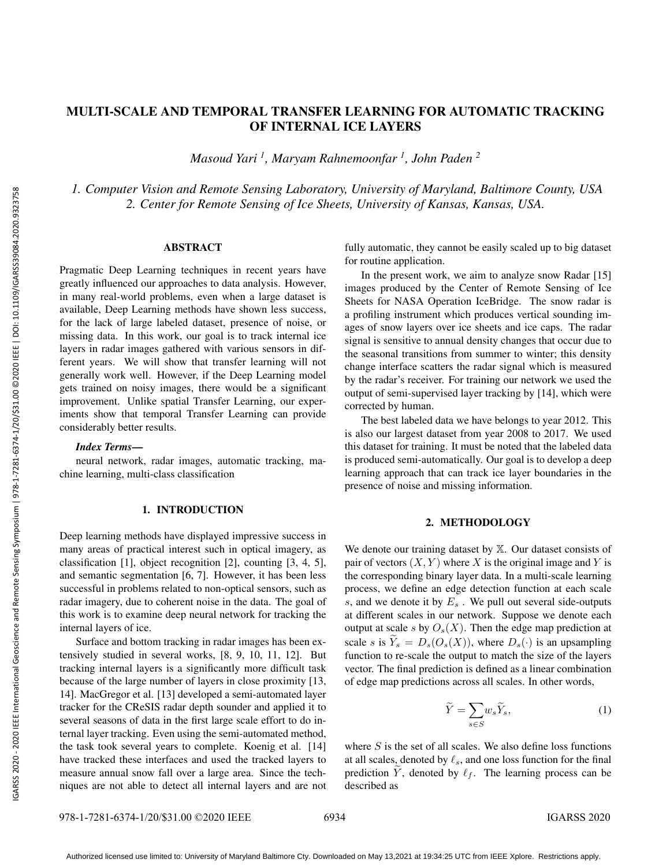# MULTI-SCALE AND TEMPORAL TRANSFER LEARNING FOR AUTOMATIC TRACKING OF INTERNAL ICE LAYERS

*Masoud Yari <sup>1</sup> , Maryam Rahnemoonfar <sup>1</sup> , John Paden <sup>2</sup>*

*1. Computer Vision and Remote Sensing Laboratory, University of Maryland, Baltimore County, USA 2. Center for Remote Sensing of Ice Sheets, University of Kansas, Kansas, USA.*

# ABSTRACT

Pragmatic Deep Learning techniques in recent years have greatly influenced our approaches to data analysis. However, in many real-world problems, even when a large dataset is available, Deep Learning methods have shown less success, for the lack of large labeled dataset, presence of noise, or missing data. In this work, our goal is to track internal ice layers in radar images gathered with various sensors in different years. We will show that transfer learning will not generally work well. However, if the Deep Learning model gets trained on noisy images, there would be a significant improvement. Unlike spatial Transfer Learning, our experiments show that temporal Transfer Learning can provide considerably better results.

### *Index Terms*—

neural network, radar images, automatic tracking, machine learning, multi-class classification

## 1. INTRODUCTION

Deep learning methods have displayed impressive success in many areas of practical interest such in optical imagery, as classification [1], object recognition [2], counting [3, 4, 5], and semantic segmentation [6, 7]. However, it has been less successful in problems related to non-optical sensors, such as radar imagery, due to coherent noise in the data. The goal of this work is to examine deep neural network for tracking the internal layers of ice.

Surface and bottom tracking in radar images has been extensively studied in several works, [8, 9, 10, 11, 12]. But tracking internal layers is a significantly more difficult task because of the large number of layers in close proximity [13, 14]. MacGregor et al. [13] developed a semi-automated layer tracker for the CReSIS radar depth sounder and applied it to several seasons of data in the first large scale effort to do internal layer tracking. Even using the semi-automated method, the task took several years to complete. Koenig et al. [14] have tracked these interfaces and used the tracked layers to measure annual snow fall over a large area. Since the techniques are not able to detect all internal layers and are not fully automatic, they cannot be easily scaled up to big dataset for routine application.

In the present work, we aim to analyze snow Radar [15] images produced by the Center of Remote Sensing of Ice Sheets for NASA Operation IceBridge. The snow radar is a profiling instrument which produces vertical sounding images of snow layers over ice sheets and ice caps. The radar signal is sensitive to annual density changes that occur due to the seasonal transitions from summer to winter; this density change interface scatters the radar signal which is measured by the radar's receiver. For training our network we used the output of semi-supervised layer tracking by [14], which were corrected by human.

The best labeled data we have belongs to year 2012. This is also our largest dataset from year 2008 to 2017. We used this dataset for training. It must be noted that the labeled data is produced semi-automatically. Our goal is to develop a deep learning approach that can track ice layer boundaries in the presence of noise and missing information.

#### 2. METHODOLOGY

We denote our training dataset by  $X$ . Our dataset consists of pair of vectors  $(X, Y)$  where X is the original image and Y is the corresponding binary layer data. In a multi-scale learning process, we define an edge detection function at each scale s, and we denote it by  $E_s$ . We pull out several side-outputs at different scales in our network. Suppose we denote each output at scale s by  $O_s(X)$ . Then the edge map prediction at scale s is  $Y_s = D_s(O_s(X))$ , where  $D_s(\cdot)$  is an upsampling function to re-scale the output to match the size of the layers vector. The final prediction is defined as a linear combination of edge map predictions across all scales. In other words,

$$
\widetilde{Y} = \sum_{s \in S} w_s \widetilde{Y}_s,\tag{1}
$$

where  $S$  is the set of all scales. We also define loss functions at all scales, denoted by  $\ell_s$ , and one loss function for the final prediction Y, denoted by  $\ell_f$ . The learning process can be described as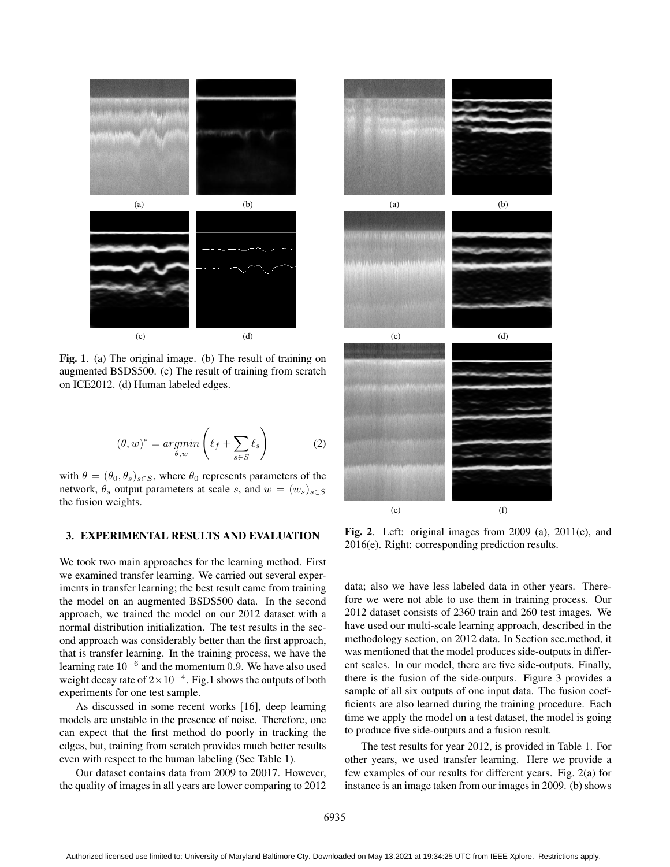

Fig. 1. (a) The original image. (b) The result of training on augmented BSDS500. (c) The result of training from scratch on ICE2012. (d) Human labeled edges.

$$
(\theta, w)^* = \underset{\theta, w}{\operatorname{argmin}} \left( \ell_f + \sum_{s \in S} \ell_s \right) \tag{2}
$$

with  $\theta = (\theta_0, \theta_s)_{s \in S}$ , where  $\theta_0$  represents parameters of the network,  $\theta_s$  output parameters at scale s, and  $w = (w_s)_{s \in S}$ the fusion weights.

# 3. EXPERIMENTAL RESULTS AND EVALUATION

We took two main approaches for the learning method. First we examined transfer learning. We carried out several experiments in transfer learning; the best result came from training the model on an augmented BSDS500 data. In the second approach, we trained the model on our 2012 dataset with a normal distribution initialization. The test results in the second approach was considerably better than the first approach, that is transfer learning. In the training process, we have the learning rate  $10^{-6}$  and the momentum 0.9. We have also used weight decay rate of  $2 \times 10^{-4}$ . Fig.1 shows the outputs of both experiments for one test sample.

As discussed in some recent works [16], deep learning models are unstable in the presence of noise. Therefore, one can expect that the first method do poorly in tracking the edges, but, training from scratch provides much better results even with respect to the human labeling (See Table 1).

Our dataset contains data from 2009 to 20017. However, the quality of images in all years are lower comparing to 2012



Fig. 2. Left: original images from  $2009$  (a),  $2011(c)$ , and 2016(e). Right: corresponding prediction results.

data; also we have less labeled data in other years. Therefore we were not able to use them in training process. Our 2012 dataset consists of 2360 train and 260 test images. We have used our multi-scale learning approach, described in the methodology section, on 2012 data. In Section sec.method, it was mentioned that the model produces side-outputs in different scales. In our model, there are five side-outputs. Finally, there is the fusion of the side-outputs. Figure 3 provides a sample of all six outputs of one input data. The fusion coefficients are also learned during the training procedure. Each time we apply the model on a test dataset, the model is going to produce five side-outputs and a fusion result.

The test results for year 2012, is provided in Table 1. For other years, we used transfer learning. Here we provide a few examples of our results for different years. Fig. 2(a) for instance is an image taken from our images in 2009. (b) shows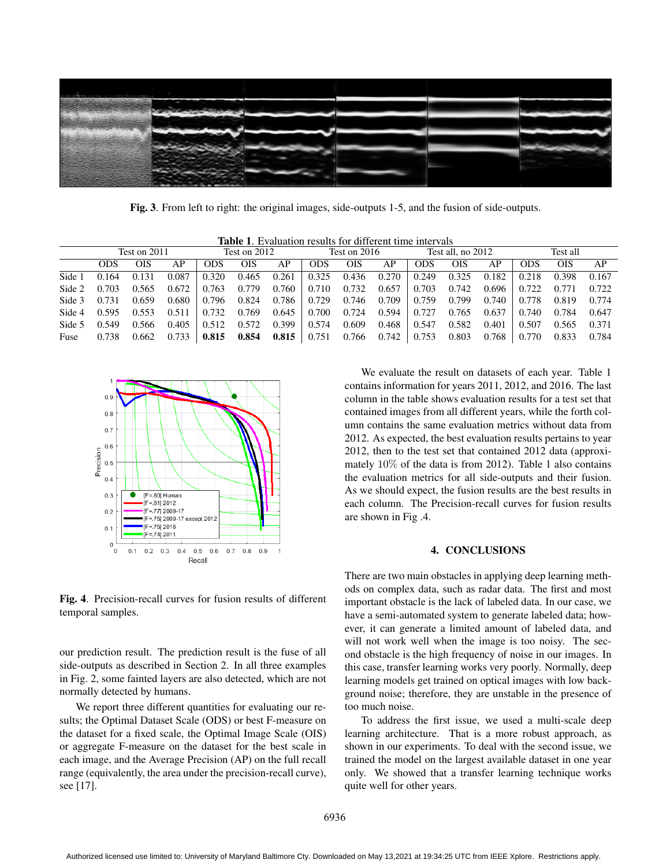

Fig. 3. From left to right: the original images, side-outputs 1-5, and the fusion of side-outputs.

Table 1. Evaluation results for different time intervals

|        | Test on 2011 |       |       | Test on 2012 |       |       | Test on 2016 |       |       | Test all. no 2012 |       |       | Test all |            |       |
|--------|--------------|-------|-------|--------------|-------|-------|--------------|-------|-------|-------------------|-------|-------|----------|------------|-------|
|        | ODS          | OIS   | AP    | ODS          | OIS   | AP    | <b>ODS</b>   | OIS   | AP    | ODS               | OIS   | AP    | ODS      | <b>OIS</b> | AP    |
| Side 1 | 0.164        | .131  | 0.087 | 0.320        | 0.465 | 0.261 | 0.325        | 0.436 | 0.270 | 0.249             | 0.325 | 0.182 | 0.218    | 0.398      | 0.167 |
| Side 2 | 0.703        | 0.565 | 0.672 | 0.763        | 0.779 | 0.760 | 0.710        | 0.732 | 0.657 | 0.703             | 0.742 | 0.696 | 0.722    | 0.771      | 0.722 |
| Side 3 | 0.731        | 0.659 | 0.680 | 0.796        | 0.824 | 0.786 | 0.729        | 0.746 | 0.709 | 0.759             | 0.799 | 0.740 | 0.778    | 0.819      | 0.774 |
| Side 4 | 0.595        | 0.553 | 0.511 | 0.732        | 0.769 | 0.645 | 0.700        | 0.724 | 0.594 | 0.727             | 0.765 | 0.637 | 0.740    | 0.784      | 0.647 |
| Side 5 | 0.549        | 0.566 | 0.405 | 0.512        | 0.572 | 0.399 | 0.574        | 0.609 | 0.468 | 0.547             | 0.582 | 0.401 | 0.507    | 0.565      | 0.371 |
| Fuse   | 0.738        | 0.662 | 0.733 | 0.815        | 0.854 | 0.815 | 0.751        | 0.766 | 0.742 | 0.753             | 0.803 | 0.768 | 0.770    | 0.833      | 0.784 |



Fig. 4. Precision-recall curves for fusion results of different temporal samples.

our prediction result. The prediction result is the fuse of all side-outputs as described in Section 2. In all three examples in Fig. 2, some fainted layers are also detected, which are not normally detected by humans.

We report three different quantities for evaluating our results; the Optimal Dataset Scale (ODS) or best F-measure on the dataset for a fixed scale, the Optimal Image Scale (OIS) or aggregate F-measure on the dataset for the best scale in each image, and the Average Precision (AP) on the full recall range (equivalently, the area under the precision-recall curve), see [17].

We evaluate the result on datasets of each year. Table 1 contains information for years 2011, 2012, and 2016. The last column in the table shows evaluation results for a test set that contained images from all different years, while the forth column contains the same evaluation metrics without data from 2012. As expected, the best evaluation results pertains to year 2012, then to the test set that contained 2012 data (approximately 10% of the data is from 2012). Table 1 also contains the evaluation metrics for all side-outputs and their fusion. As we should expect, the fusion results are the best results in each column. The Precision-recall curves for fusion results are shown in Fig .4.

# 4. CONCLUSIONS

There are two main obstacles in applying deep learning methods on complex data, such as radar data. The first and most important obstacle is the lack of labeled data. In our case, we have a semi-automated system to generate labeled data; however, it can generate a limited amount of labeled data, and will not work well when the image is too noisy. The second obstacle is the high frequency of noise in our images. In this case, transfer learning works very poorly. Normally, deep learning models get trained on optical images with low background noise; therefore, they are unstable in the presence of too much noise.

To address the first issue, we used a multi-scale deep learning architecture. That is a more robust approach, as shown in our experiments. To deal with the second issue, we trained the model on the largest available dataset in one year only. We showed that a transfer learning technique works quite well for other years.